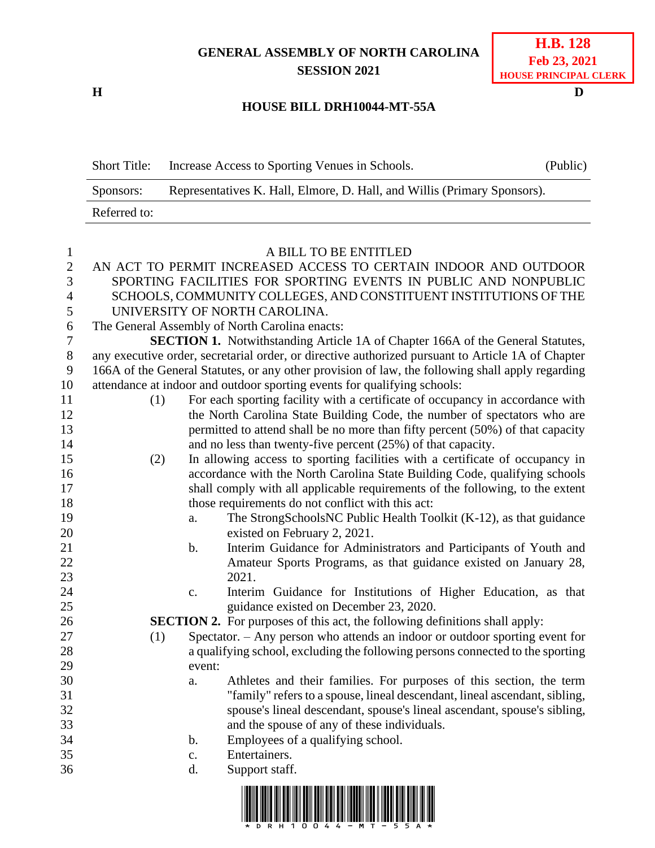## **GENERAL ASSEMBLY OF NORTH CAROLINA SESSION 2021**

**H D**

## **H.B. 128 Feb 23, 2021 HOUSE PRINCIPAL CLERK**

## **HOUSE BILL DRH10044-MT-55A**

|                | <b>Short Title:</b>                                                                               |                                                                          | Increase Access to Sporting Venues in Schools.                                                                                                                | (Public) |  |  |  |
|----------------|---------------------------------------------------------------------------------------------------|--------------------------------------------------------------------------|---------------------------------------------------------------------------------------------------------------------------------------------------------------|----------|--|--|--|
|                | Sponsors:                                                                                         | Representatives K. Hall, Elmore, D. Hall, and Willis (Primary Sponsors). |                                                                                                                                                               |          |  |  |  |
|                | Referred to:                                                                                      |                                                                          |                                                                                                                                                               |          |  |  |  |
| $\mathbf{1}$   |                                                                                                   |                                                                          | A BILL TO BE ENTITLED                                                                                                                                         |          |  |  |  |
| $\sqrt{2}$     |                                                                                                   | AN ACT TO PERMIT INCREASED ACCESS TO CERTAIN INDOOR AND OUTDOOR          |                                                                                                                                                               |          |  |  |  |
| 3              |                                                                                                   | SPORTING FACILITIES FOR SPORTING EVENTS IN PUBLIC AND NONPUBLIC          |                                                                                                                                                               |          |  |  |  |
| $\overline{4}$ |                                                                                                   | SCHOOLS, COMMUNITY COLLEGES, AND CONSTITUENT INSTITUTIONS OF THE         |                                                                                                                                                               |          |  |  |  |
| 5              | UNIVERSITY OF NORTH CAROLINA.                                                                     |                                                                          |                                                                                                                                                               |          |  |  |  |
| 6              |                                                                                                   | The General Assembly of North Carolina enacts:                           |                                                                                                                                                               |          |  |  |  |
| $\tau$         | <b>SECTION 1.</b> Notwithstanding Article 1A of Chapter 166A of the General Statutes,             |                                                                          |                                                                                                                                                               |          |  |  |  |
| $8\,$          | any executive order, secretarial order, or directive authorized pursuant to Article 1A of Chapter |                                                                          |                                                                                                                                                               |          |  |  |  |
| 9              | 166A of the General Statutes, or any other provision of law, the following shall apply regarding  |                                                                          |                                                                                                                                                               |          |  |  |  |
| 10             |                                                                                                   |                                                                          | attendance at indoor and outdoor sporting events for qualifying schools:                                                                                      |          |  |  |  |
| 11             | (1)                                                                                               |                                                                          | For each sporting facility with a certificate of occupancy in accordance with                                                                                 |          |  |  |  |
| 12             |                                                                                                   |                                                                          | the North Carolina State Building Code, the number of spectators who are                                                                                      |          |  |  |  |
| 13             |                                                                                                   |                                                                          | permitted to attend shall be no more than fifty percent (50%) of that capacity                                                                                |          |  |  |  |
| 14             |                                                                                                   |                                                                          | and no less than twenty-five percent (25%) of that capacity.                                                                                                  |          |  |  |  |
| 15             | (2)                                                                                               |                                                                          | In allowing access to sporting facilities with a certificate of occupancy in                                                                                  |          |  |  |  |
| 16             |                                                                                                   |                                                                          | accordance with the North Carolina State Building Code, qualifying schools                                                                                    |          |  |  |  |
| 17             |                                                                                                   |                                                                          | shall comply with all applicable requirements of the following, to the extent                                                                                 |          |  |  |  |
| 18             |                                                                                                   |                                                                          | those requirements do not conflict with this act:                                                                                                             |          |  |  |  |
| 19             |                                                                                                   | a.                                                                       | The StrongSchoolsNC Public Health Toolkit (K-12), as that guidance                                                                                            |          |  |  |  |
| 20             |                                                                                                   |                                                                          | existed on February 2, 2021.                                                                                                                                  |          |  |  |  |
| 21             |                                                                                                   | b.                                                                       | Interim Guidance for Administrators and Participants of Youth and                                                                                             |          |  |  |  |
| 22             |                                                                                                   |                                                                          | Amateur Sports Programs, as that guidance existed on January 28,                                                                                              |          |  |  |  |
| 23             |                                                                                                   |                                                                          | 2021.                                                                                                                                                         |          |  |  |  |
| 24             |                                                                                                   | c.                                                                       | Interim Guidance for Institutions of Higher Education, as that                                                                                                |          |  |  |  |
| 25             |                                                                                                   |                                                                          | guidance existed on December 23, 2020.                                                                                                                        |          |  |  |  |
| 26             |                                                                                                   |                                                                          | <b>SECTION 2.</b> For purposes of this act, the following definitions shall apply:                                                                            |          |  |  |  |
| 27<br>28       | (1)                                                                                               |                                                                          | Spectator. – Any person who attends an indoor or outdoor sporting event for<br>a qualifying school, excluding the following persons connected to the sporting |          |  |  |  |
| 29             |                                                                                                   | event:                                                                   |                                                                                                                                                               |          |  |  |  |
| 30             |                                                                                                   | a.                                                                       | Athletes and their families. For purposes of this section, the term                                                                                           |          |  |  |  |
| 31             |                                                                                                   |                                                                          | "family" refers to a spouse, lineal descendant, lineal ascendant, sibling,                                                                                    |          |  |  |  |
| 32             |                                                                                                   |                                                                          | spouse's lineal descendant, spouse's lineal ascendant, spouse's sibling,                                                                                      |          |  |  |  |
| 33             |                                                                                                   |                                                                          | and the spouse of any of these individuals.                                                                                                                   |          |  |  |  |
| 34             |                                                                                                   | b.                                                                       | Employees of a qualifying school.                                                                                                                             |          |  |  |  |
| 35             |                                                                                                   | c.                                                                       | Entertainers.                                                                                                                                                 |          |  |  |  |
|                |                                                                                                   |                                                                          |                                                                                                                                                               |          |  |  |  |